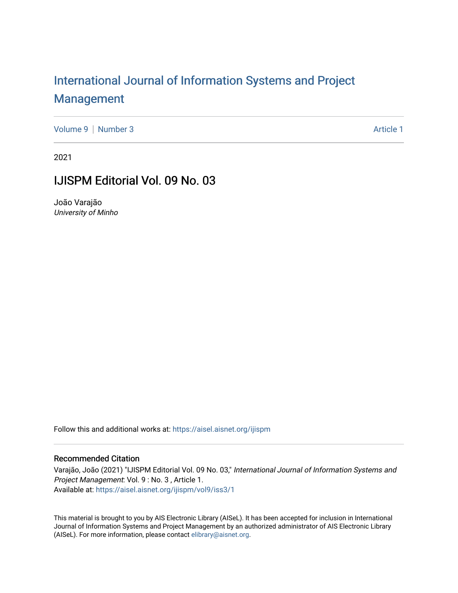## [International Journal of Information Systems and Project](https://aisel.aisnet.org/ijispm)  [Management](https://aisel.aisnet.org/ijispm)

[Volume 9](https://aisel.aisnet.org/ijispm/vol9) | [Number 3](https://aisel.aisnet.org/ijispm/vol9/iss3) Article 1

2021

### IJISPM Editorial Vol. 09 No. 03

João Varajão University of Minho

Follow this and additional works at: [https://aisel.aisnet.org/ijispm](https://aisel.aisnet.org/ijispm?utm_source=aisel.aisnet.org%2Fijispm%2Fvol9%2Fiss3%2F1&utm_medium=PDF&utm_campaign=PDFCoverPages) 

#### Recommended Citation

Varajão, João (2021) "IJISPM Editorial Vol. 09 No. 03," International Journal of Information Systems and Project Management: Vol. 9 : No. 3 , Article 1. Available at: [https://aisel.aisnet.org/ijispm/vol9/iss3/1](https://aisel.aisnet.org/ijispm/vol9/iss3/1?utm_source=aisel.aisnet.org%2Fijispm%2Fvol9%2Fiss3%2F1&utm_medium=PDF&utm_campaign=PDFCoverPages) 

This material is brought to you by AIS Electronic Library (AISeL). It has been accepted for inclusion in International Journal of Information Systems and Project Management by an authorized administrator of AIS Electronic Library (AISeL). For more information, please contact [elibrary@aisnet.org](mailto:elibrary@aisnet.org%3E).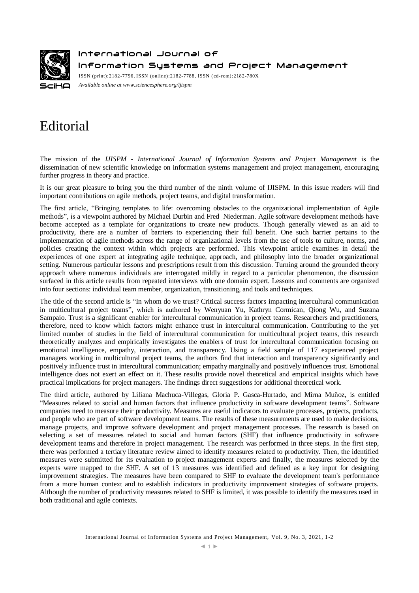

International Journal of

Information Systems and Project Management

ISSN (print):2182-7796, ISSN (online):2182-7788, ISSN ( cd-rom):2182-780X *Available online a[t www.sciencesphere.org/ijispm](http://www.sciencesphere.org/ijispm)*

# Editorial

The mission of the *IJISPM - International Journal of Information Systems and Project Management* is the dissemination of new scientific knowledge on information systems management and project management, encouraging further progress in theory and practice.

It is our great pleasure to bring you the third number of the ninth volume of IJISPM. In this issue readers will find important contributions on agile methods, project teams, and digital transformation.

The first article, "Bringing templates to life: overcoming obstacles to the organizational implementation of Agile methods", is a viewpoint authored by Michael Durbin and Fred Niederman. Agile software development methods have become accepted as a template for organizations to create new products. Though generally viewed as an aid to productivity, there are a number of barriers to experiencing their full benefit. One such barrier pertains to the implementation of agile methods across the range of organizational levels from the use of tools to culture, norms, and policies creating the context within which projects are performed. This viewpoint article examines in detail the experiences of one expert at integrating agile technique, approach, and philosophy into the broader organizational setting. Numerous particular lessons and prescriptions result from this discussion. Turning around the grounded theory approach where numerous individuals are interrogated mildly in regard to a particular phenomenon, the discussion surfaced in this article results from repeated interviews with one domain expert. Lessons and comments are organized into four sections: individual team member, organization, transitioning, and tools and techniques.

The title of the second article is "In whom do we trust? Critical success factors impacting intercultural communication in multicultural project teams", which is authored by Wenyuan Yu, Kathryn Cormican, Qiong Wu, and Suzana Sampaio. Trust is a significant enabler for intercultural communication in project teams. Researchers and practitioners, therefore, need to know which factors might enhance trust in intercultural communication. Contributing to the yet limited number of studies in the field of intercultural communication for multicultural project teams, this research theoretically analyzes and empirically investigates the enablers of trust for intercultural communication focusing on emotional intelligence, empathy, interaction, and transparency. Using a field sample of 117 experienced project managers working in multicultural project teams, the authors find that interaction and transparency significantly and positively influence trust in intercultural communication; empathy marginally and positively influences trust. Emotional intelligence does not exert an effect on it. These results provide novel theoretical and empirical insights which have practical implications for project managers. The findings direct suggestions for additional theoretical work.

The third article, authored by Liliana Machuca-Villegas, Gloria P. Gasca-Hurtado, and Mirna Muñoz, is entitled "Measures related to social and human factors that influence productivity in software development teams". Software companies need to measure their productivity. Measures are useful indicators to evaluate processes, projects, products, and people who are part of software development teams. The results of these measurements are used to make decisions, manage projects, and improve software development and project management processes. The research is based on selecting a set of measures related to social and human factors (SHF) that influence productivity in software development teams and therefore in project management. The research was performed in three steps. In the first step, there was performed a tertiary literature review aimed to identify measures related to productivity. Then, the identified measures were submitted for its evaluation to project management experts and finally, the measures selected by the experts were mapped to the SHF. A set of 13 measures was identified and defined as a key input for designing improvement strategies. The measures have been compared to SHF to evaluate the development team's performance from a more human context and to establish indicators in productivity improvement strategies of software projects. Although the number of productivity measures related to SHF is limited, it was possible to identify the measures used in both traditional and agile contexts.